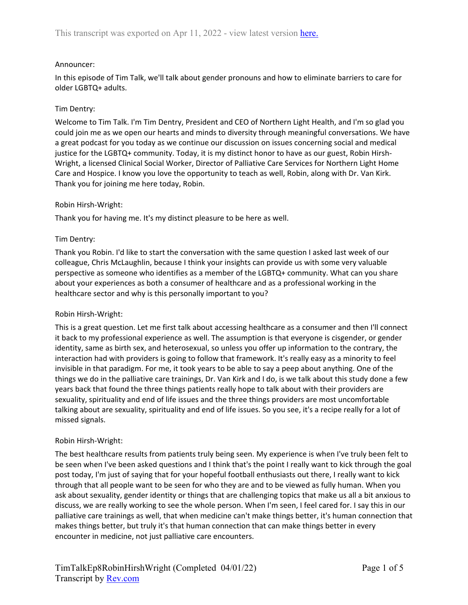### Announcer:

In this episode of Tim Talk, we'll talk about gender pronouns and how to eliminate barriers to care for older LGBTQ+ adults.

### Tim Dentry:

Welcome to Tim Talk. I'm Tim Dentry, President and CEO of Northern Light Health, and I'm so glad you could join me as we open our hearts and minds to diversity through meaningful conversations. We have a great podcast for you today as we continue our discussion on issues concerning social and medical justice for the LGBTQ+ community. Today, it is my distinct honor to have as our guest, Robin Hirsh-Wright, a licensed Clinical Social Worker, Director of Palliative Care Services for Northern Light Home Care and Hospice. I know you love the opportunity to teach as well, Robin, along with Dr. Van Kirk. Thank you for joining me here today, Robin.

### Robin Hirsh-Wright:

Thank you for having me. It's my distinct pleasure to be here as well.

### Tim Dentry:

Thank you Robin. I'd like to start the conversation with the same question I asked last week of our colleague, Chris McLaughlin, because I think your insights can provide us with some very valuable perspective as someone who identifies as a member of the LGBTQ+ community. What can you share about your experiences as both a consumer of healthcare and as a professional working in the healthcare sector and why is this personally important to you?

#### Robin Hirsh-Wright:

This is a great question. Let me first talk about accessing healthcare as a consumer and then I'll connect it back to my professional experience as well. The assumption is that everyone is cisgender, or gender identity, same as birth sex, and heterosexual, so unless you offer up information to the contrary, the interaction had with providers is going to follow that framework. It's really easy as a minority to feel invisible in that paradigm. For me, it took years to be able to say a peep about anything. One of the things we do in the palliative care trainings, Dr. Van Kirk and I do, is we talk about this study done a few years back that found the three things patients really hope to talk about with their providers are sexuality, spirituality and end of life issues and the three things providers are most uncomfortable talking about are sexuality, spirituality and end of life issues. So you see, it's a recipe really for a lot of missed signals.

#### Robin Hirsh-Wright:

The best healthcare results from patients truly being seen. My experience is when I've truly been felt to be seen when I've been asked questions and I think that's the point I really want to kick through the goal post today, I'm just of saying that for your hopeful football enthusiasts out there, I really want to kick through that all people want to be seen for who they are and to be viewed as fully human. When you ask about sexuality, gender identity or things that are challenging topics that make us all a bit anxious to discuss, we are really working to see the whole person. When I'm seen, I feel cared for. I say this in our palliative care trainings as well, that when medicine can't make things better, it's human connection that makes things better, but truly it's that human connection that can make things better in every encounter in medicine, not just palliative care encounters.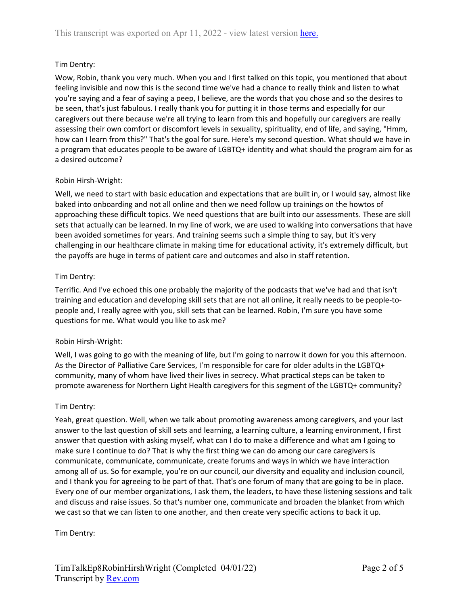# Tim Dentry:

Wow, Robin, thank you very much. When you and I first talked on this topic, you mentioned that about feeling invisible and now this is the second time we've had a chance to really think and listen to what you're saying and a fear of saying a peep, I believe, are the words that you chose and so the desires to be seen, that's just fabulous. I really thank you for putting it in those terms and especially for our caregivers out there because we're all trying to learn from this and hopefully our caregivers are really assessing their own comfort or discomfort levels in sexuality, spirituality, end of life, and saying, "Hmm, how can I learn from this?" That's the goal for sure. Here's my second question. What should we have in a program that educates people to be aware of LGBTQ+ identity and what should the program aim for as a desired outcome?

# Robin Hirsh-Wright:

Well, we need to start with basic education and expectations that are built in, or I would say, almost like baked into onboarding and not all online and then we need follow up trainings on the howtos of approaching these difficult topics. We need questions that are built into our assessments. These are skill sets that actually can be learned. In my line of work, we are used to walking into conversations that have been avoided sometimes for years. And training seems such a simple thing to say, but it's very challenging in our healthcare climate in making time for educational activity, it's extremely difficult, but the payoffs are huge in terms of patient care and outcomes and also in staff retention.

### Tim Dentry:

Terrific. And I've echoed this one probably the majority of the podcasts that we've had and that isn't training and education and developing skill sets that are not all online, it really needs to be people-topeople and, I really agree with you, skill sets that can be learned. Robin, I'm sure you have some questions for me. What would you like to ask me?

#### Robin Hirsh-Wright:

Well, I was going to go with the meaning of life, but I'm going to narrow it down for you this afternoon. As the Director of Palliative Care Services, I'm responsible for care for older adults in the LGBTQ+ community, many of whom have lived their lives in secrecy. What practical steps can be taken to promote awareness for Northern Light Health caregivers for this segment of the LGBTQ+ community?

#### Tim Dentry:

Yeah, great question. Well, when we talk about promoting awareness among caregivers, and your last answer to the last question of skill sets and learning, a learning culture, a learning environment, I first answer that question with asking myself, what can I do to make a difference and what am I going to make sure I continue to do? That is why the first thing we can do among our care caregivers is communicate, communicate, communicate, create forums and ways in which we have interaction among all of us. So for example, you're on our council, our diversity and equality and inclusion council, and I thank you for agreeing to be part of that. That's one forum of many that are going to be in place. Every one of our member organizations, I ask them, the leaders, to have these listening sessions and talk and discuss and raise issues. So that's number one, communicate and broaden the blanket from which we cast so that we can listen to one another, and then create very specific actions to back it up.

#### Tim Dentry: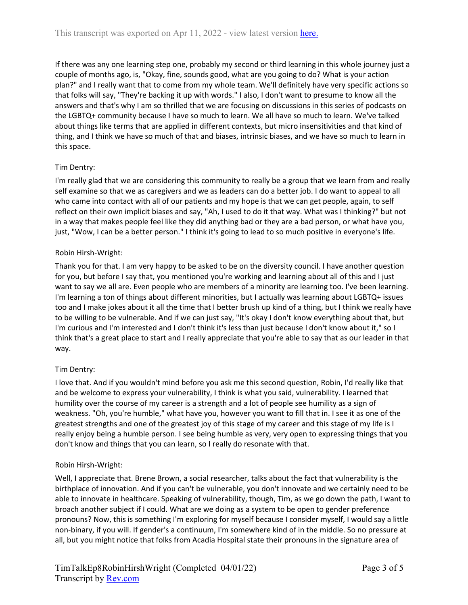If there was any one learning step one, probably my second or third learning in this whole journey just a couple of months ago, is, "Okay, fine, sounds good, what are you going to do? What is your action plan?" and I really want that to come from my whole team. We'll definitely have very specific actions so that folks will say, "They're backing it up with words." I also, I don't want to presume to know all the answers and that's why I am so thrilled that we are focusing on discussions in this series of podcasts on the LGBTQ+ community because I have so much to learn. We all have so much to learn. We've talked about things like terms that are applied in different contexts, but micro insensitivities and that kind of thing, and I think we have so much of that and biases, intrinsic biases, and we have so much to learn in this space.

# Tim Dentry:

I'm really glad that we are considering this community to really be a group that we learn from and really self examine so that we as caregivers and we as leaders can do a better job. I do want to appeal to all who came into contact with all of our patients and my hope is that we can get people, again, to self reflect on their own implicit biases and say, "Ah, I used to do it that way. What was I thinking?" but not in a way that makes people feel like they did anything bad or they are a bad person, or what have you, just, "Wow, I can be a better person." I think it's going to lead to so much positive in everyone's life.

# Robin Hirsh-Wright:

Thank you for that. I am very happy to be asked to be on the diversity council. I have another question for you, but before I say that, you mentioned you're working and learning about all of this and I just want to say we all are. Even people who are members of a minority are learning too. I've been learning. I'm learning a ton of things about different minorities, but I actually was learning about LGBTQ+ issues too and I make jokes about it all the time that I better brush up kind of a thing, but I think we really have to be willing to be vulnerable. And if we can just say, "It's okay I don't know everything about that, but I'm curious and I'm interested and I don't think it's less than just because I don't know about it," so I think that's a great place to start and I really appreciate that you're able to say that as our leader in that way.

# Tim Dentry:

I love that. And if you wouldn't mind before you ask me this second question, Robin, I'd really like that and be welcome to express your vulnerability, I think is what you said, vulnerability. I learned that humility over the course of my career is a strength and a lot of people see humility as a sign of weakness. "Oh, you're humble," what have you, however you want to fill that in. I see it as one of the greatest strengths and one of the greatest joy of this stage of my career and this stage of my life is I really enjoy being a humble person. I see being humble as very, very open to expressing things that you don't know and things that you can learn, so I really do resonate with that.

# Robin Hirsh-Wright:

Well, I appreciate that. Brene Brown, a social researcher, talks about the fact that vulnerability is the birthplace of innovation. And if you can't be vulnerable, you don't innovate and we certainly need to be able to innovate in healthcare. Speaking of vulnerability, though, Tim, as we go down the path, I want to broach another subject if I could. What are we doing as a system to be open to gender preference pronouns? Now, this is something I'm exploring for myself because I consider myself, I would say a little non-binary, if you will. If gender's a continuum, I'm somewhere kind of in the middle. So no pressure at all, but you might notice that folks from Acadia Hospital state their pronouns in the signature area of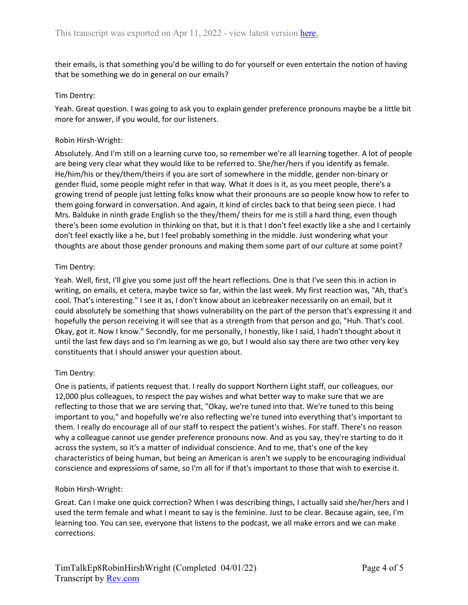their emails, is that something you'd be willing to do for yourself or even entertain the notion of having that be something we do in general on our emails?

### Tim Dentry:

Yeah. Great question. I was going to ask you to explain gender preference pronouns maybe be a little bit more for answer, if you would, for our listeners.

### Robin Hirsh-Wright:

Absolutely. And I'm still on a learning curve too, so remember we're all learning together. A lot of people are being very clear what they would like to be referred to. She/her/hers if you identify as female. He/him/his or they/them/theirs if you are sort of somewhere in the middle, gender non-binary or gender fluid, some people might refer in that way. What it does is it, as you meet people, there's a growing trend of people just letting folks know what their pronouns are so people know how to refer to them going forward in conversation. And again, it kind of circles back to that being seen piece. I had Mrs. Balduke in ninth grade English so the they/them/ theirs for me is still a hard thing, even though there's been some evolution in thinking on that, but it is that I don't feel exactly like a she and I certainly don't feel exactly like a he, but I feel probably something in the middle. Just wondering what your thoughts are about those gender pronouns and making them some part of our culture at some point?

# Tim Dentry:

Yeah. Well, first, I'll give you some just off the heart reflections. One is that I've seen this in action in writing, on emails, et cetera, maybe twice so far, within the last week. My first reaction was, "Ah, that's cool. That's interesting." I see it as, I don't know about an icebreaker necessarily on an email, but it could absolutely be something that shows vulnerability on the part of the person that's expressing it and hopefully the person receiving it will see that as a strength from that person and go, "Huh. That's cool. Okay, got it. Now I know." Secondly, for me personally, I honestly, like I said, I hadn't thought about it until the last few days and so I'm learning as we go, but I would also say there are two other very key constituents that I should answer your question about.

# Tim Dentry:

One is patients, if patients request that. I really do support Northern Light staff, our colleagues, our 12,000 plus colleagues, to respect the pay wishes and what better way to make sure that we are reflecting to those that we are serving that, "Okay, we're tuned into that. We're tuned to this being important to you," and hopefully we're also reflecting we're tuned into everything that's important to them. I really do encourage all of our staff to respect the patient's wishes. For staff. There's no reason why a colleague cannot use gender preference pronouns now. And as you say, they're starting to do it across the system, so it's a matter of individual conscience. And to me, that's one of the key characteristics of being human, but being an American is aren't we supply to be encouraging individual conscience and expressions of same, so I'm all for if that's important to those that wish to exercise it.

#### Robin Hirsh-Wright:

Great. Can I make one quick correction? When I was describing things, I actually said she/her/hers and I used the term female and what I meant to say is the feminine. Just to be clear. Because again, see, I'm learning too. You can see, everyone that listens to the podcast, we all make errors and we can make corrections.